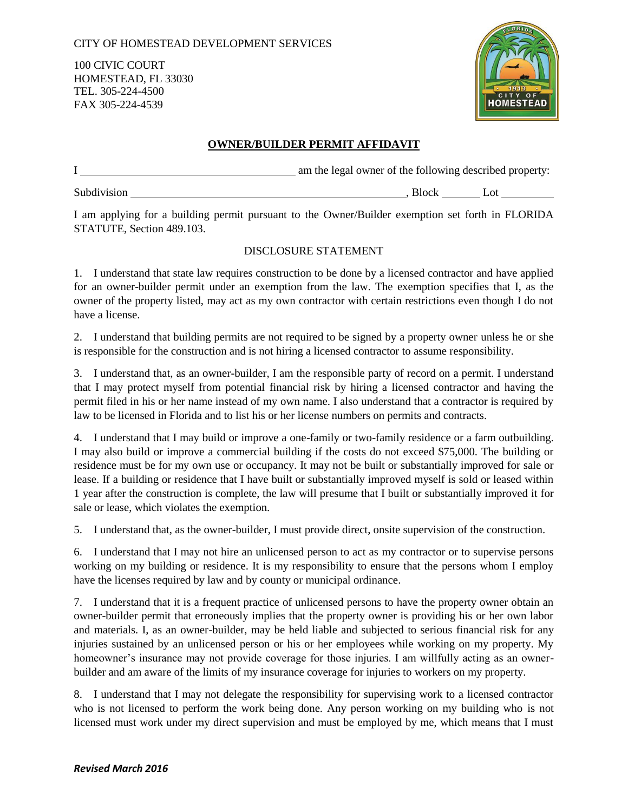## CITY OF HOMESTEAD DEVELOPMENT SERVICES

100 CIVIC COURT HOMESTEAD, FL 33030 TEL. 305-224-4500 FAX 305-224-4539



## **OWNER/BUILDER PERMIT AFFIDAVIT**

|             |              | am the legal owner of the following described property: |  |  |
|-------------|--------------|---------------------------------------------------------|--|--|
| Subdivision | <b>Block</b> |                                                         |  |  |

I am applying for a building permit pursuant to the Owner/Builder exemption set forth in FLORIDA STATUTE, Section 489.103.

## DISCLOSURE STATEMENT

1. I understand that state law requires construction to be done by a licensed contractor and have applied for an owner-builder permit under an exemption from the law. The exemption specifies that I, as the owner of the property listed, may act as my own contractor with certain restrictions even though I do not have a license.

2. I understand that building permits are not required to be signed by a property owner unless he or she is responsible for the construction and is not hiring a licensed contractor to assume responsibility.

3. I understand that, as an owner-builder, I am the responsible party of record on a permit. I understand that I may protect myself from potential financial risk by hiring a licensed contractor and having the permit filed in his or her name instead of my own name. I also understand that a contractor is required by law to be licensed in Florida and to list his or her license numbers on permits and contracts.

4. I understand that I may build or improve a one-family or two-family residence or a farm outbuilding. I may also build or improve a commercial building if the costs do not exceed \$75,000. The building or residence must be for my own use or occupancy. It may not be built or substantially improved for sale or lease. If a building or residence that I have built or substantially improved myself is sold or leased within 1 year after the construction is complete, the law will presume that I built or substantially improved it for sale or lease, which violates the exemption.

5. I understand that, as the owner-builder, I must provide direct, onsite supervision of the construction.

6. I understand that I may not hire an unlicensed person to act as my contractor or to supervise persons working on my building or residence. It is my responsibility to ensure that the persons whom I employ have the licenses required by law and by county or municipal ordinance.

7. I understand that it is a frequent practice of unlicensed persons to have the property owner obtain an owner-builder permit that erroneously implies that the property owner is providing his or her own labor and materials. I, as an owner-builder, may be held liable and subjected to serious financial risk for any injuries sustained by an unlicensed person or his or her employees while working on my property. My homeowner's insurance may not provide coverage for those injuries. I am willfully acting as an ownerbuilder and am aware of the limits of my insurance coverage for injuries to workers on my property.

8. I understand that I may not delegate the responsibility for supervising work to a licensed contractor who is not licensed to perform the work being done. Any person working on my building who is not licensed must work under my direct supervision and must be employed by me, which means that I must